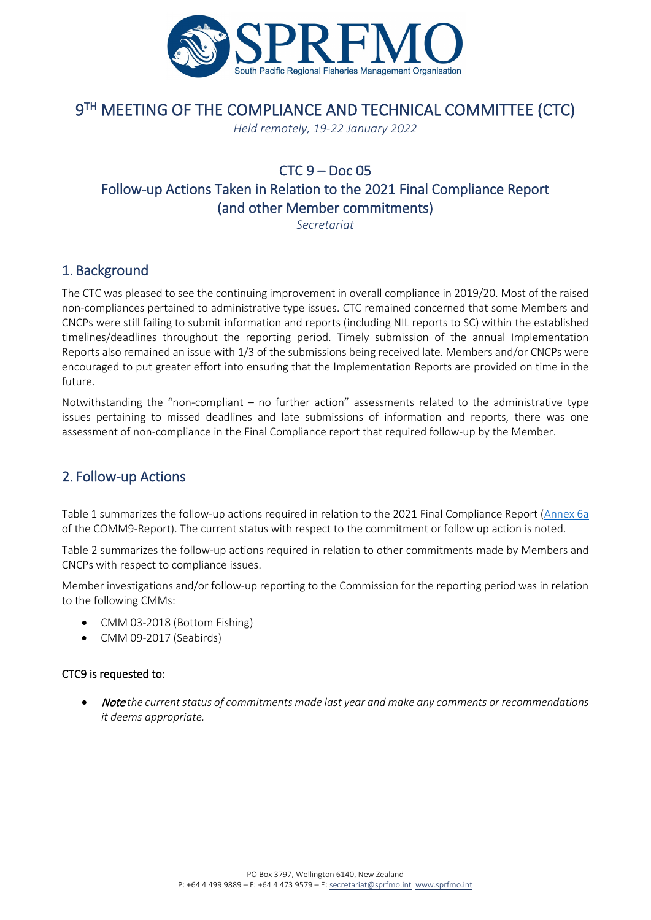

# **9TH MEETING OF THE COMPLIANCE AND TECHNICAL COMMITTEE (CTC)**

*Held remotely, 19-22 January 2022*

## $CTC_9 - Doc_05$ Follow-up Actions Taken in Relation to the 2021 Final Compliance Report (and other Member commitments)

*Secretariat*

## 1. Background

The CTC was pleased to see the continuing improvement in overall compliance in 2019/20. Most of the raised non-compliances pertained to administrative type issues. CTC remained concerned that some Members and CNCPs were still failing to submit information and reports (including NIL reports to SC) within the established timelines/deadlines throughout the reporting period. Timely submission of the annual Implementation Reports also remained an issue with 1/3 of the submissions being received late. Members and/or CNCPs were encouraged to put greater effort into ensuring that the Implementation Reports are provided on time in the future.

Notwithstanding the "non-compliant – no further action" assessments related to the administrative type issues pertaining to missed deadlines and late submissions of information and reports, there was one assessment of non-compliance in the Final Compliance report that required follow-up by the Member.

### 2. Follow-up Actions

Table 1 summarizes the follow-up actions required in relation to the 2021 Final Compliance Report [\(Annex 6a](https://www.sprfmo.int/assets/0-2021-Annual-Meeting/Reports/Annex-6a-Final-Compliance-Report-on-Members-and-CNCPs-2019-20.pdf) of the COMM9-Report). The current status with respect to the commitment or follow up action is noted.

Table 2 summarizes the follow-up actions required in relation to other commitments made by Members and CNCPs with respect to compliance issues.

Member investigations and/or follow-up reporting to the Commission for the reporting period was in relation to the following CMMs:

- CMM 03-2018 (Bottom Fishing)
- CMM 09-2017 (Seabirds)

#### CTC9 is requested to:

• Note *the current status of commitments made last year and make any comments or recommendations it deems appropriate.*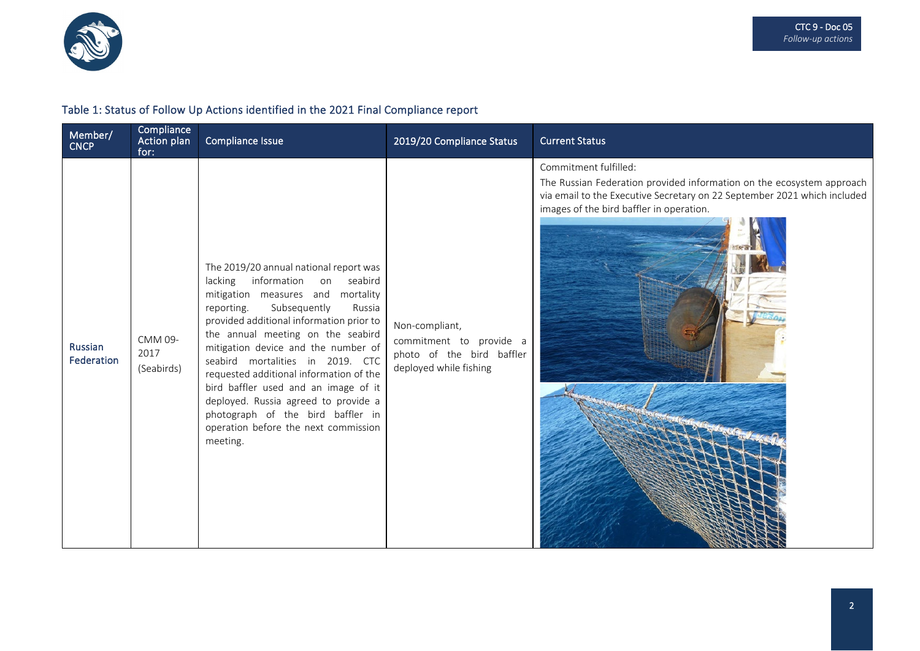

#### Table 1: Status of Follow Up Actions identified in the 2021 Final Compliance report

| Member/<br><b>CNCP</b> | Compliance<br>Action plan<br>for: | Compliance Issue                                                                                                                                                                                                                                                                                                                                                                                                                                                                                                                      | 2019/20 Compliance Status                                                                        | <b>Current Status</b>                                                                                                                                                                                                  |
|------------------------|-----------------------------------|---------------------------------------------------------------------------------------------------------------------------------------------------------------------------------------------------------------------------------------------------------------------------------------------------------------------------------------------------------------------------------------------------------------------------------------------------------------------------------------------------------------------------------------|--------------------------------------------------------------------------------------------------|------------------------------------------------------------------------------------------------------------------------------------------------------------------------------------------------------------------------|
| Russian<br>Federation  | CMM 09-<br>2017<br>(Seabirds)     | The 2019/20 annual national report was<br>lacking information on seabird<br>mitigation measures and mortality<br>Subsequently<br>reporting.<br>Russia<br>provided additional information prior to<br>the annual meeting on the seabird<br>mitigation device and the number of<br>seabird mortalities in 2019. CTC<br>requested additional information of the<br>bird baffler used and an image of it<br>deployed. Russia agreed to provide a<br>photograph of the bird baffler in<br>operation before the next commission<br>meeting. | Non-compliant,<br>commitment to provide a<br>photo of the bird baffler<br>deployed while fishing | Commitment fulfilled:<br>The Russian Federation provided information on the ecosystem approach<br>via email to the Executive Secretary on 22 September 2021 which included<br>images of the bird baffler in operation. |